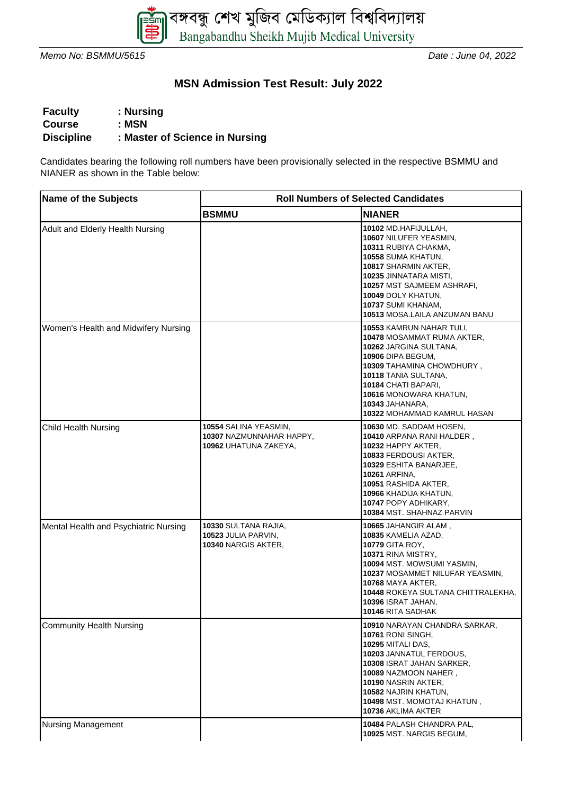

Memo No: BSMMU/5615 **Date : June 04, 2022** 

## **MSN Admission Test Result: July 2022**

| <b>Faculty</b>    | : Nursing                      |
|-------------------|--------------------------------|
| <b>Course</b>     | : MSN                          |
| <b>Discipline</b> | : Master of Science in Nursing |

Candidates bearing the following roll numbers have been provisionally selected in the respective BSMMU and NIANER as shown in the Table below:

| <b>Name of the Subjects</b>           | <b>Roll Numbers of Selected Candidates</b>                                 |                                                                                                                                                                                                                                                                                         |  |
|---------------------------------------|----------------------------------------------------------------------------|-----------------------------------------------------------------------------------------------------------------------------------------------------------------------------------------------------------------------------------------------------------------------------------------|--|
|                                       | <b>BSMMU</b>                                                               | <b>NIANER</b>                                                                                                                                                                                                                                                                           |  |
| Adult and Elderly Health Nursing      |                                                                            | 10102 MD.HAFIJULLAH,<br>10607 NILUFER YEASMIN,<br>10311 RUBIYA CHAKMA,<br>10558 SUMA KHATUN,<br>10817 SHARMIN AKTER,<br>10235 JINNATARA MISTI,<br>10257 MST SAJMEEM ASHRAFI,<br>10049 DOLY KHATUN,<br>10737 SUMI KHANAM,<br>10513 MOSA.LAILA ANZUMAN BANU                               |  |
| Women's Health and Midwifery Nursing  |                                                                            | <b>10553 KAMRUN NAHAR TULI,</b><br><b>10478 MOSAMMAT RUMA AKTER,</b><br>10262 JARGINA SULTANA,<br>10906 DIPA BEGUM,<br>10309 TAHAMINA CHOWDHURY,<br>10118 TANIA SULTANA,<br>10184 CHATI BAPARI,<br>10616 MONOWARA KHATUN,<br>10343 JAHANARA,<br><b>10322 MOHAMMAD KAMRUL HASAN</b>      |  |
| <b>Child Health Nursing</b>           | 10554 SALINA YEASMIN,<br>10307 NAZMUNNAHAR HAPPY,<br>10962 UHATUNA ZAKEYA, | 10630 MD. SADDAM HOSEN,<br>10410 ARPANA RANI HALDER,<br>10232 HAPPY AKTER,<br><b>10833 FERDOUSI AKTER,</b><br>10329 ESHITA BANARJEE,<br><b>10261 ARFINA,</b><br><b>10951 RASHIDA AKTER,</b><br>10966 KHADIJA KHATUN,<br><b>10747 POPY ADHIKARY,</b><br><b>10384 MST. SHAHNAZ PARVIN</b> |  |
| Mental Health and Psychiatric Nursing | <b>10330 SULTANA RAJIA,</b><br>10523 JULIA PARVIN,<br>10340 NARGIS AKTER,  | 10665 JAHANGIR ALAM,<br>10835 KAMELIA AZAD,<br><b>10779 GITA ROY,</b><br>10371 RINA MISTRY,<br>10094 MST. MOWSUMI YASMIN,<br>10237 MOSAMMET NILUFAR YEASMIN,<br><b>10768 MAYA AKTER,</b><br>10448 ROKEYA SULTANA CHITTRALEKHA,<br>10396 ISRAT JAHAN,<br>10146 RITA SADHAK               |  |
| <b>Community Health Nursing</b>       |                                                                            | 10910 NARAYAN CHANDRA SARKAR,<br>10761 RONI SINGH,<br>10295 MITALI DAS,<br>10203 JANNATUL FERDOUS,<br>10308 ISRAT JAHAN SARKER,<br>10089 NAZMOON NAHER,<br>10190 NASRIN AKTER,<br>10582 NAJRIN KHATUN,<br>10498 MST. MOMOTAJ KHATUN,<br>10736 AKLIMA AKTER                              |  |
| <b>Nursing Management</b>             |                                                                            | 10484 PALASH CHANDRA PAL,<br>10925 MST. NARGIS BEGUM,                                                                                                                                                                                                                                   |  |